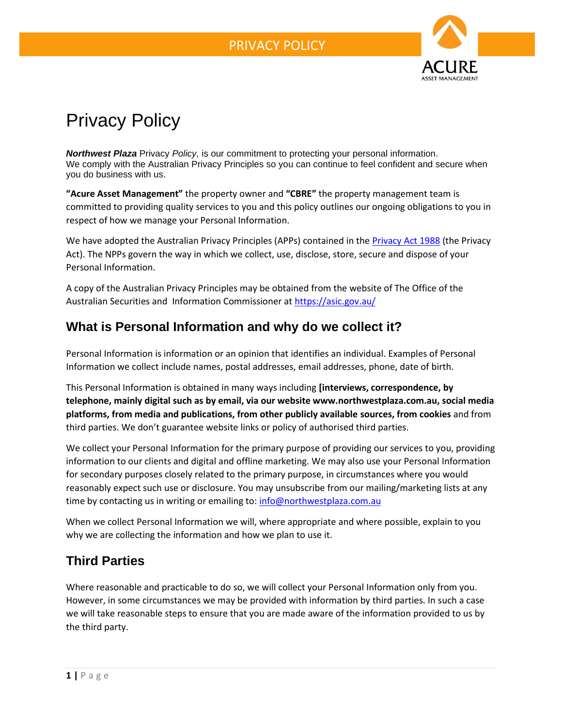

# Privacy Policy

*Northwest Plaza* Privacy *Policy,* is our commitment to protecting your personal information. We comply with the Australian Privacy Principles so you can continue to feel confident and secure when you do business with us.

**"Acure Asset Management"** the property owner and **"CBRE"** the property management team is committed to providing quality services to you and this policy outlines our ongoing obligations to you in respect of how we manage your Personal Information.

We have adopted the Australian Privacy Principles (APPs) contained in the **Privacy Act 1988** (the Privacy Act). The NPPs govern the way in which we collect, use, disclose, store, secure and dispose of your Personal Information.

A copy of the Australian Privacy Principles may be obtained from the website of The Office of the Australian Securities and Information Commissioner at<https://asic.gov.au/>

## **What is Personal Information and why do we collect it?**

Personal Information is information or an opinion that identifies an individual. Examples of Personal Information we collect include names, postal addresses, email addresses, phone, date of birth.

This Personal Information is obtained in many ways including **[interviews, correspondence, by telephone, mainly digital such as by email, via our website www.northwestplaza.com.au, social media platforms, from media and publications, from other publicly available sources, from cookies** and from third parties. We don't guarantee website links or policy of authorised third parties.

We collect your Personal Information for the primary purpose of providing our services to you, providing information to our clients and digital and offline marketing. We may also use your Personal Information for secondary purposes closely related to the primary purpose, in circumstances where you would reasonably expect such use or disclosure. You may unsubscribe from our mailing/marketing lists at any time by contacting us in writing or emailing to[: info@northwestplaza.com.au](mailto:info@northwestplaza.com.au)

When we collect Personal Information we will, where appropriate and where possible, explain to you why we are collecting the information and how we plan to use it.

## **Third Parties**

Where reasonable and practicable to do so, we will collect your Personal Information only from you. However, in some circumstances we may be provided with information by third parties. In such a case we will take reasonable steps to ensure that you are made aware of the information provided to us by the third party.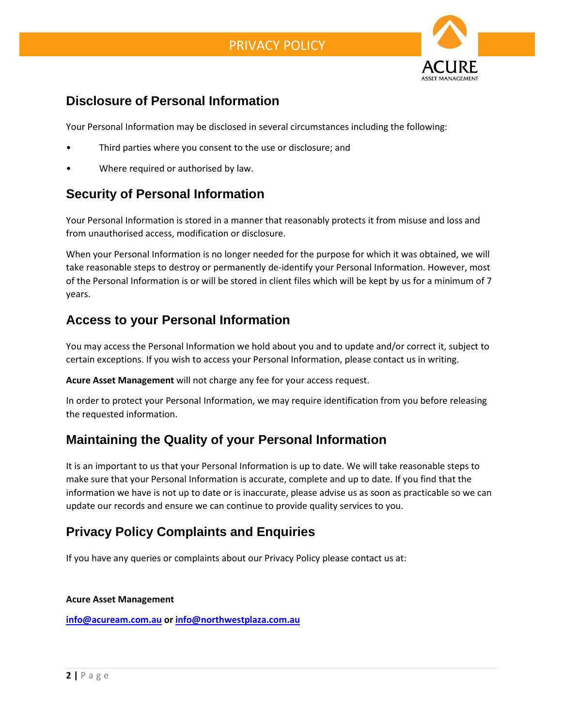

# **Disclosure of Personal Information**

Your Personal Information may be disclosed in several circumstances including the following:

- Third parties where you consent to the use or disclosure; and
- Where required or authorised by law.

# **Security of Personal Information**

Your Personal Information is stored in a manner that reasonably protects it from misuse and loss and from unauthorised access, modification or disclosure.

When your Personal Information is no longer needed for the purpose for which it was obtained, we will take reasonable steps to destroy or permanently de-identify your Personal Information. However, most of the Personal Information is or will be stored in client files which will be kept by us for a minimum of 7 years.

## **Access to your Personal Information**

You may access the Personal Information we hold about you and to update and/or correct it, subject to certain exceptions. If you wish to access your Personal Information, please contact us in writing.

**Acure Asset Management** will not charge any fee for your access request.

In order to protect your Personal Information, we may require identification from you before releasing the requested information.

## **Maintaining the Quality of your Personal Information**

It is an important to us that your Personal Information is up to date. We will take reasonable steps to make sure that your Personal Information is accurate, complete and up to date. If you find that the information we have is not up to date or is inaccurate, please advise us as soon as practicable so we can update our records and ensure we can continue to provide quality services to you.

# **Privacy Policy Complaints and Enquiries**

If you have any queries or complaints about our Privacy Policy please contact us at:

### **Acure Asset Management**

**[info@acuream.com.au](mailto:info@acuream.com.au) or [info@northwestplaza.com.au](mailto:info@northwestplaza.com.au)**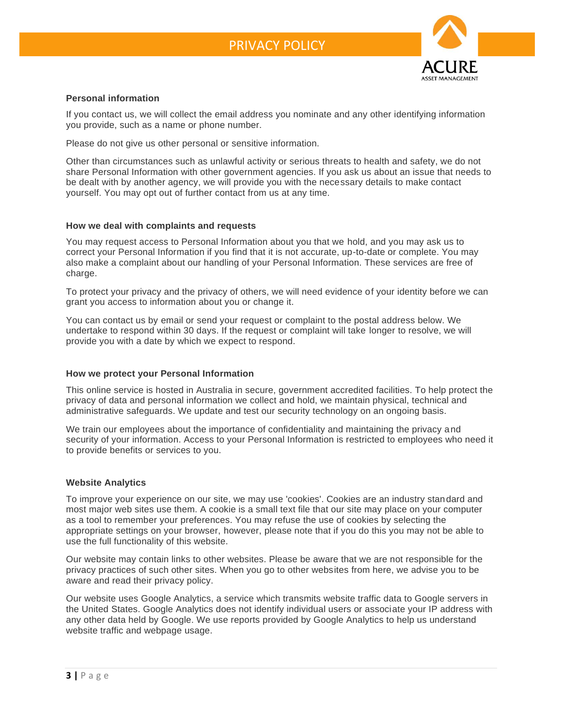

### **Personal information**

If you contact us, we will collect the email address you nominate and any other identifying information you provide, such as a name or phone number.

Please do not give us other personal or sensitive information.

Other than circumstances such as unlawful activity or serious threats to health and safety, we do not share Personal Information with other government agencies. If you ask us about an issue that needs to be dealt with by another agency, we will provide you with the necessary details to make contact yourself. You may opt out of further contact from us at any time.

#### **How we deal with complaints and requests**

You may request access to Personal Information about you that we hold, and you may ask us to correct your Personal Information if you find that it is not accurate, up-to-date or complete. You may also make a complaint about our handling of your Personal Information. These services are free of charge.

To protect your privacy and the privacy of others, we will need evidence of your identity before we can grant you access to information about you or change it.

You can contact us by email or send your request or complaint to the postal address below. We undertake to respond within 30 days. If the request or complaint will take longer to resolve, we will provide you with a date by which we expect to respond.

### **How we protect your Personal Information**

This online service is hosted in Australia in secure, government accredited facilities. To help protect the privacy of data and personal information we collect and hold, we maintain physical, technical and administrative safeguards. We update and test our security technology on an ongoing basis.

We train our employees about the importance of confidentiality and maintaining the privacy and security of your information. Access to your Personal Information is restricted to employees who need it to provide benefits or services to you.

#### **Website Analytics**

To improve your experience on our site, we may use 'cookies'. Cookies are an industry standard and most major web sites use them. A cookie is a small text file that our site may place on your computer as a tool to remember your preferences. You may refuse the use of cookies by selecting the appropriate settings on your browser, however, please note that if you do this you may not be able to use the full functionality of this website.

Our website may contain links to other websites. Please be aware that we are not responsible for the privacy practices of such other sites. When you go to other websites from here, we advise you to be aware and read their privacy policy.

Our website uses Google Analytics, a service which transmits website traffic data to Google servers in the United States. Google Analytics does not identify individual users or associate your IP address with any other data held by Google. We use reports provided by Google Analytics to help us understand website traffic and webpage usage.